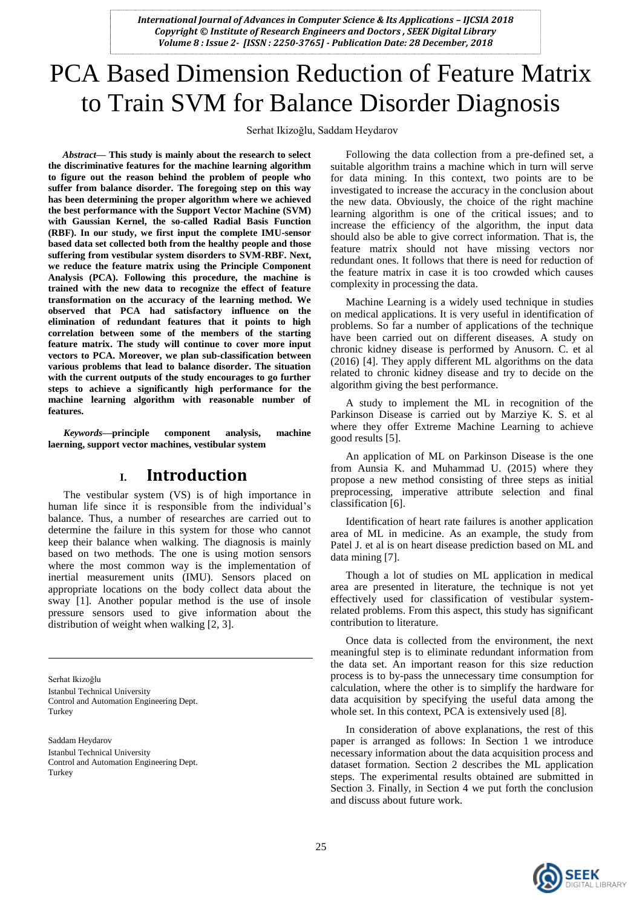# PCA Based Dimension Reduction of Feature Matrix to Train SVM for Balance Disorder Diagnosis

Serhat Ikizoğlu, Saddam Heydarov

*Abstract***— This study is mainly about the research to select the discriminative features for the machine learning algorithm to figure out the reason behind the problem of people who suffer from balance disorder. The foregoing step on this way has been determining the proper algorithm where we achieved the best performance with the Support Vector Machine (SVM) with Gaussian Kernel, the so-called Radial Basis Function (RBF). In our study, we first input the complete IMU-sensor based data set collected both from the healthy people and those suffering from vestibular system disorders to SVM-RBF. Next, we reduce the feature matrix using the Principle Component Analysis (PCA). Following this procedure, the machine is trained with the new data to recognize the effect of feature transformation on the accuracy of the learning method. We observed that PCA had satisfactory influence on the elimination of redundant features that it points to high correlation between some of the members of the starting feature matrix. The study will continue to cover more input vectors to PCA. Moreover, we plan sub-classification between various problems that lead to balance disorder. The situation with the current outputs of the study encourages to go further steps to achieve a significantly high performance for the machine learning algorithm with reasonable number of features.**

*Keywords—***principle component analysis, machine laerning, support vector machines, vestibular system**

### **I. Introduction**

The vestibular system (VS) is of high importance in human life since it is responsible from the individual's balance. Thus, a number of researches are carried out to determine the failure in this system for those who cannot keep their balance when walking. The diagnosis is mainly based on two methods. The one is using motion sensors where the most common way is the implementation of inertial measurement units (IMU). Sensors placed on appropriate locations on the body collect data about the sway [1]. Another popular method is the use of insole pressure sensors used to give information about the distribution of weight when walking [2, 3].

Serhat Ikizoğlu Istanbul Technical University Control and Automation Engineering Dept. Turkey

Saddam Heydarov

Istanbul Technical University Control and Automation Engineering Dept. Turkey

Following the data collection from a pre-defined set, a suitable algorithm trains a machine which in turn will serve for data mining. In this context, two points are to be investigated to increase the accuracy in the conclusion about the new data. Obviously, the choice of the right machine learning algorithm is one of the critical issues; and to increase the efficiency of the algorithm, the input data should also be able to give correct information. That is, the feature matrix should not have missing vectors nor redundant ones. It follows that there is need for reduction of the feature matrix in case it is too crowded which causes complexity in processing the data.

Machine Learning is a widely used technique in studies on medical applications. It is very useful in identification of problems. So far a number of applications of the technique have been carried out on different diseases. A study on chronic kidney disease is performed by Anusorn. C. et al (2016) [4]. They apply different ML algorithms on the data related to chronic kidney disease and try to decide on the algorithm giving the best performance.

A study to implement the ML in recognition of the Parkinson Disease is carried out by Marziye K. S. et al where they offer Extreme Machine Learning to achieve good results [5].

An application of ML on Parkinson Disease is the one from Aunsia K. and Muhammad U. (2015) where they propose a new method consisting of three steps as initial preprocessing, imperative attribute selection and final classification [6].

Identification of heart rate failures is another application area of ML in medicine. As an example, the study from Patel J. et al is on heart disease prediction based on ML and data mining [7].

Though a lot of studies on ML application in medical area are presented in literature, the technique is not yet effectively used for classification of vestibular systemrelated problems. From this aspect, this study has significant contribution to literature.

Once data is collected from the environment, the next meaningful step is to eliminate redundant information from the data set. An important reason for this size reduction process is to by-pass the unnecessary time consumption for calculation, where the other is to simplify the hardware for data acquisition by specifying the useful data among the whole set. In this context, PCA is extensively used [8].

In consideration of above explanations, the rest of this paper is arranged as follows: In Section 1 we introduce necessary information about the data acquisition process and dataset formation. Section 2 describes the ML application steps. The experimental results obtained are submitted in Section 3. Finally, in Section 4 we put forth the conclusion and discuss about future work.

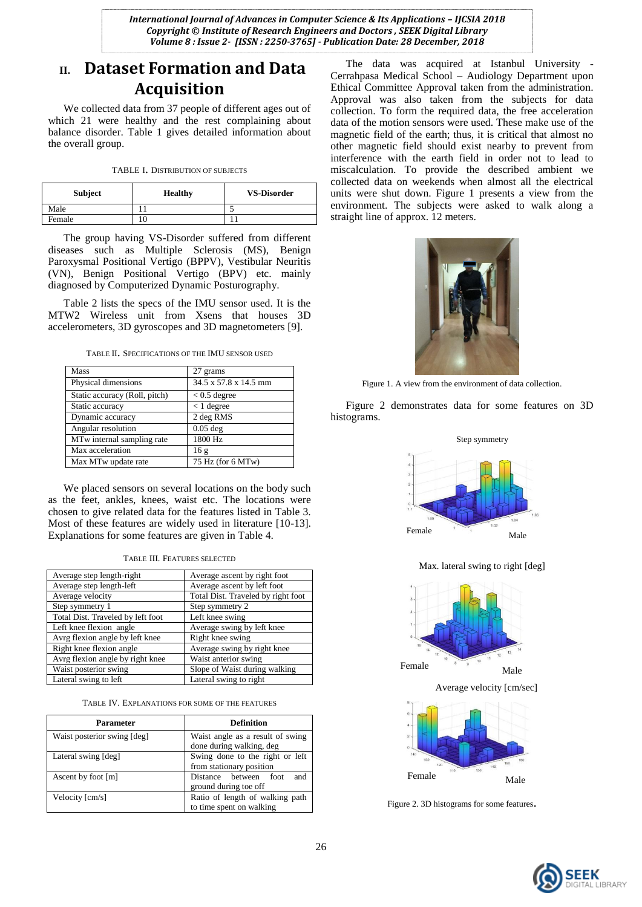## **II. Dataset Formation and Data Acquisition**

We collected data from 37 people of different ages out of which 21 were healthy and the rest complaining about balance disorder. Table 1 gives detailed information about the overall group.

| TABLE I. DISTRIBUTION OF SUBJECTS |  |  |
|-----------------------------------|--|--|
|                                   |  |  |

| <b>Subject</b> | <b>Healthy</b> | <b>VS-Disorder</b> |
|----------------|----------------|--------------------|
| Male           |                |                    |
| Female         |                |                    |

The group having VS-Disorder suffered from different diseases such as Multiple Sclerosis (MS), Benign Paroxysmal Positional Vertigo (BPPV), Vestibular Neuritis (VN), Benign Positional Vertigo (BPV) etc. mainly diagnosed by Computerized Dynamic Posturography.

Table 2 lists the specs of the IMU sensor used. It is the MTW2 Wireless unit from Xsens that houses 3D accelerometers, 3D gyroscopes and 3D magnetometers [9].

<sup>T</sup>ABLE II. <sup>S</sup>PECIFICATIONS OF THE IMU SENSOR USED

| Mass                          | 27 grams              |
|-------------------------------|-----------------------|
| Physical dimensions           | 34.5 x 57.8 x 14.5 mm |
| Static accuracy (Roll, pitch) | $< 0.5$ degree        |
| Static accuracy               | $< 1$ degree          |
| Dynamic accuracy              | 2 deg RMS             |
| Angular resolution            | $0.05$ deg            |
| MTw internal sampling rate    | 1800 Hz               |
| Max acceleration              | 16g                   |
| Max MTw update rate           | 75 Hz (for 6 MTw)     |

We placed sensors on several locations on the body such as the feet, ankles, knees, waist etc. The locations were chosen to give related data for the features listed in Table 3. Most of these features are widely used in literature [10-13]. Explanations for some features are given in Table 4.

| TABLE III. FEATURES SELECTED |  |  |
|------------------------------|--|--|
|------------------------------|--|--|

| Average step length-right         | Average ascent by right foot       |
|-----------------------------------|------------------------------------|
| Average step length-left          | Average ascent by left foot        |
| Average velocity                  | Total Dist. Traveled by right foot |
| Step symmetry 1                   | Step symmetry 2                    |
| Total Dist. Traveled by left foot | Left knee swing                    |
| Left knee flexion angle           | Average swing by left knee         |
| Avrg flexion angle by left knee   | Right knee swing                   |
| Right knee flexion angle          | Average swing by right knee        |
| Avrg flexion angle by right knee  | Waist anterior swing               |
| Waist posterior swing             | Slope of Waist during walking      |
| Lateral swing to left             | Lateral swing to right             |

TABLE IV. EXPLANATIONS FOR SOME OF THE FEATURES

| <b>Parameter</b>            | <b>Definition</b>                                            |
|-----------------------------|--------------------------------------------------------------|
| Waist posterior swing [deg] | Waist angle as a result of swing<br>done during walking, deg |
| Lateral swing [deg]         | Swing done to the right or left<br>from stationary position  |
| Ascent by foot [m]          | and<br>Distance between foot<br>ground during toe off        |
| Velocity [cm/s]             | Ratio of length of walking path<br>to time spent on walking  |

The data was acquired at Istanbul University - Cerrahpasa Medical School – Audiology Department upon Ethical Committee Approval taken from the administration. Approval was also taken from the subjects for data collection. To form the required data, the free acceleration data of the motion sensors were used. These make use of the magnetic field of the earth; thus, it is critical that almost no other magnetic field should exist nearby to prevent from interference with the earth field in order not to lead to miscalculation. To provide the described ambient we collected data on weekends when almost all the electrical units were shut down. Figure 1 presents a view from the environment. The subjects were asked to walk along a straight line of approx. 12 meters.



Figure 1. A view from the environment of data collection.

Figure 2 demonstrates data for some features on 3D histograms.



Max. lateral swing to right [deg]



Figure 2. 3D histograms for some features.

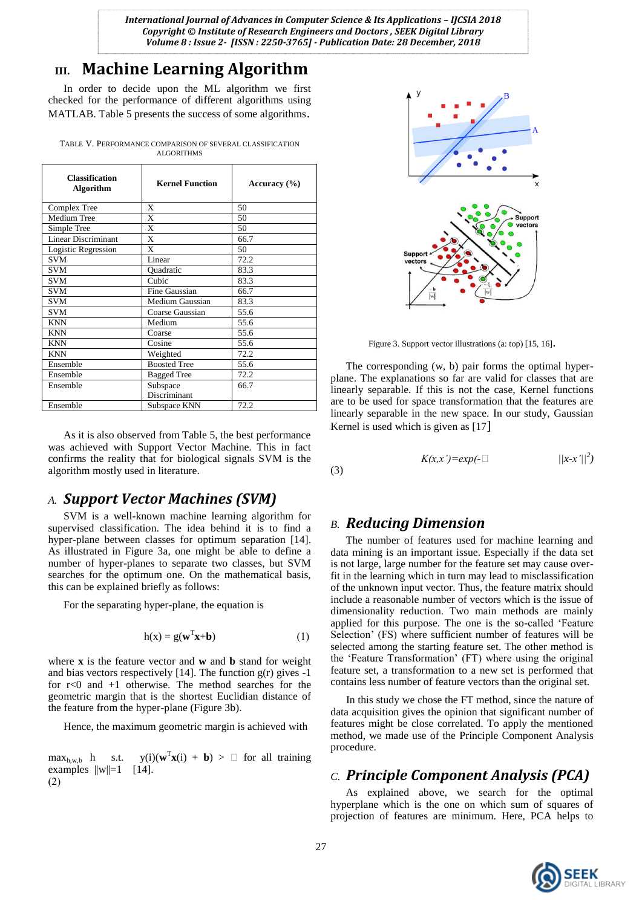# **III. Machine Learning Algorithm**

In order to decide upon the ML algorithm we first checked for the performance of different algorithms using MATLAB. Table 5 presents the success of some algorithms.

TABLE V. PERFORMANCE COMPARISON OF SEVERAL CLASSIFICATION ALGORITHMS

| <b>Classification</b><br><b>Algorithm</b> | <b>Kernel Function</b> | Accuracy $(\% )$ |
|-------------------------------------------|------------------------|------------------|
| Complex Tree                              | X                      | 50               |
| Medium Tree                               | X                      | 50               |
| Simple Tree                               | X                      | 50               |
| <b>Linear Discriminant</b>                | X                      | 66.7             |
| Logistic Regression                       | X                      | 50               |
| <b>SVM</b>                                | Linear                 | 72.2             |
| <b>SVM</b>                                | Quadratic              | 83.3             |
| <b>SVM</b>                                | Cubic                  | 83.3             |
| <b>SVM</b>                                | Fine Gaussian          | 66.7             |
| <b>SVM</b>                                | Medium Gaussian        | 83.3             |
| <b>SVM</b>                                | Coarse Gaussian        | 55.6             |
| <b>KNN</b>                                | Medium                 | 55.6             |
| KNN                                       | Coarse                 | 55.6             |
| <b>KNN</b>                                | Cosine                 | 55.6             |
| <b>KNN</b>                                | Weighted               | 72.2             |
| Ensemble                                  | <b>Boosted Tree</b>    | 55.6             |
| Ensemble                                  | <b>Bagged Tree</b>     | 72.2             |
| Ensemble                                  | Subspace               | 66.7             |
|                                           | Discriminant           |                  |
| Ensemble                                  | Subspace KNN           | 72.2             |

As it is also observed from Table 5, the best performance was achieved with Support Vector Machine. This in fact confirms the reality that for biological signals SVM is the algorithm mostly used in literature.

#### *A. Support Vector Machines (SVM)*

SVM is a well-known machine learning algorithm for supervised classification. The idea behind it is to find a hyper-plane between classes for optimum separation [14]. As illustrated in Figure 3a, one might be able to define a number of hyper-planes to separate two classes, but SVM searches for the optimum one. On the mathematical basis, this can be explained briefly as follows:

For the separating hyper-plane, the equation is

$$
h(x) = g(\mathbf{w}^T \mathbf{x} + \mathbf{b})
$$
 (1)

where **x** is the feature vector and **w** and **b** stand for weight and bias vectors respectively  $[14]$ . The function  $g(r)$  gives  $-1$ for r<0 and +1 otherwise. The method searches for the geometric margin that is the shortest Euclidian distance of the feature from the hyper-plane (Figure 3b).

Hence, the maximum geometric margin is achieved with

 $max_{h,w,b}$  h s.t.  $T$ **x**(i) + **b**) >  $\Box$  for all training examples  $||w||=1$  [14].  $(2)$ 



Figure 3. Support vector illustrations (a: top) [15, 16].

The corresponding (w, b) pair forms the optimal hyperplane. The explanations so far are valid for classes that are linearly separable. If this is not the case, Kernel functions are to be used for space transformation that the features are linearly separable in the new space. In our study, Gaussian Kernel is used which is given as [17]

$$
K(x,x') = exp(-\Box \qquad \qquad ||x-x'||^2)
$$

(3)

### *B. Reducing Dimension*

The number of features used for machine learning and data mining is an important issue. Especially if the data set is not large, large number for the feature set may cause overfit in the learning which in turn may lead to misclassification of the unknown input vector. Thus, the feature matrix should include a reasonable number of vectors which is the issue of dimensionality reduction. Two main methods are mainly applied for this purpose. The one is the so-called "Feature Selection' (FS) where sufficient number of features will be selected among the starting feature set. The other method is the "Feature Transformation" (FT) where using the original feature set, a transformation to a new set is performed that contains less number of feature vectors than the original set.

In this study we chose the FT method, since the nature of data acquisition gives the opinion that significant number of features might be close correlated. To apply the mentioned method, we made use of the Principle Component Analysis procedure.

### *C. Principle Component Analysis (PCA)*

As explained above, we search for the optimal hyperplane which is the one on which sum of squares of projection of features are minimum. Here, PCA helps to

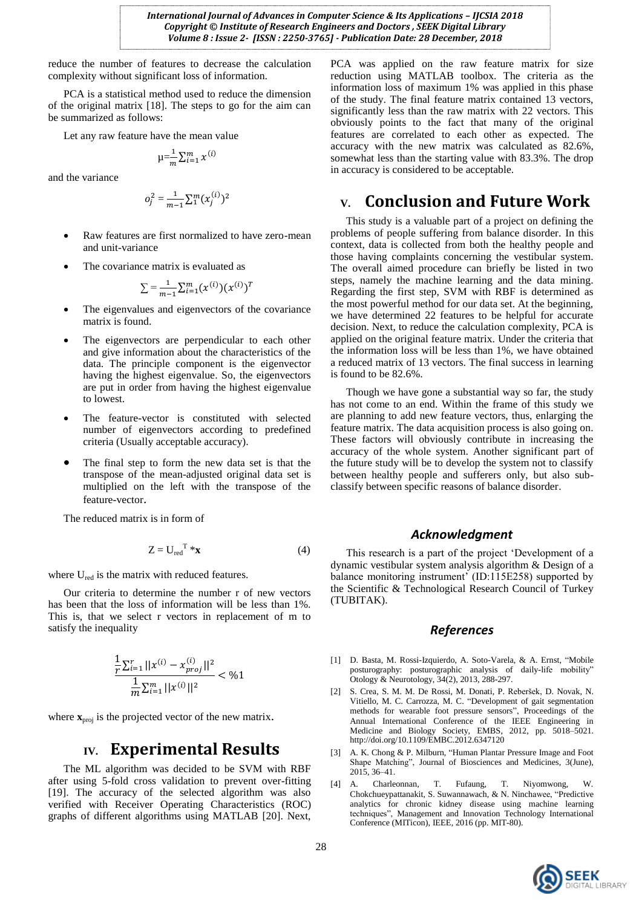reduce the number of features to decrease the calculation complexity without significant loss of information.

PCA is a statistical method used to reduce the dimension of the original matrix [18]. The steps to go for the aim can be summarized as follows:

Let any raw feature have the mean value

$$
\mu = \frac{1}{m} \sum_{i=1}^m x^{(i)}
$$

and the variance

$$
o_j^2 = \frac{1}{m-1} \sum_{i=1}^{m} (x_j^{(i)})^2
$$

- Raw features are first normalized to have zero-mean and unit-variance
- The covariance matrix is evaluated as

$$
\sum = \frac{1}{m-1} \sum_{i=1}^{m} (x^{(i)}) (x^{(i)})^T
$$

- The eigenvalues and eigenvectors of the covariance matrix is found.
- The eigenvectors are perpendicular to each other and give information about the characteristics of the data. The principle component is the eigenvector having the highest eigenvalue. So, the eigenvectors are put in order from having the highest eigenvalue to lowest.
- The feature-vector is constituted with selected number of eigenvectors according to predefined criteria (Usually acceptable accuracy).
- The final step to form the new data set is that the transpose of the mean-adjusted original data set is multiplied on the left with the transpose of the feature-vector.

The reduced matrix is in form of

$$
Z = U_{\text{red}}^{\text{T}} * \mathbf{x} \tag{4}
$$

where U<sub>red</sub> is the matrix with reduced features.

Our criteria to determine the number r of new vectors has been that the loss of information will be less than 1%. This is, that we select r vectors in replacement of m to satisfy the inequality

$$
\frac{\frac{1}{r}\sum_{i=1}^{r}||x^{(i)} - x_{proj}^{(i)}||^2}{\frac{1}{m}\sum_{i=1}^{m}||x^{(i)}||^2} < \frac{6}{1}
$$

where  $\mathbf{x}_{\text{proj}}$  is the projected vector of the new matrix.

#### **IV. Experimental Results**

The ML algorithm was decided to be SVM with RBF after using 5-fold cross validation to prevent over-fitting [19]. The accuracy of the selected algorithm was also verified with Receiver Operating Characteristics (ROC) graphs of different algorithms using MATLAB [20]. Next,

PCA was applied on the raw feature matrix for size reduction using MATLAB toolbox. The criteria as the information loss of maximum 1% was applied in this phase of the study. The final feature matrix contained 13 vectors, significantly less than the raw matrix with 22 vectors. This obviously points to the fact that many of the original features are correlated to each other as expected. The accuracy with the new matrix was calculated as 82.6%, somewhat less than the starting value with 83.3%. The drop in accuracy is considered to be acceptable.

## **V. Conclusion and Future Work**

This study is a valuable part of a project on defining the problems of people suffering from balance disorder. In this context, data is collected from both the healthy people and those having complaints concerning the vestibular system. The overall aimed procedure can briefly be listed in two steps, namely the machine learning and the data mining. Regarding the first step, SVM with RBF is determined as the most powerful method for our data set. At the beginning, we have determined 22 features to be helpful for accurate decision. Next, to reduce the calculation complexity, PCA is applied on the original feature matrix. Under the criteria that the information loss will be less than 1%, we have obtained a reduced matrix of 13 vectors. The final success in learning is found to be 82.6%.

Though we have gone a substantial way so far, the study has not come to an end. Within the frame of this study we are planning to add new feature vectors, thus, enlarging the feature matrix. The data acquisition process is also going on. These factors will obviously contribute in increasing the accuracy of the whole system. Another significant part of the future study will be to develop the system not to classify between healthy people and sufferers only, but also subclassify between specific reasons of balance disorder.

#### *Acknowledgment*

This research is a part of the project "Development of a dynamic vestibular system analysis algorithm & Design of a balance monitoring instrument' (ID:115E258) supported by the Scientific & Technological Research Council of Turkey (TUBITAK).

#### *References*

- [1] D. Basta, M. Rossi-Izquierdo, A. Soto-Varela, & A. Ernst, "Mobile posturography: posturographic analysis of daily-life mobility" Otology & Neurotology, 34(2), 2013, 288-297.
- [2] S. Crea, S. M. M. De Rossi, M. Donati, P. Reberšek, D. Novak, N. Vitiello, M. C. Carrozza, M. C. "Development of gait segmentation methods for wearable foot pressure sensors", Proceedings of the Annual International Conference of the IEEE Engineering in Medicine and Biology Society, EMBS, 2012, pp. 5018–5021. <http://doi.org/10.1109/EMBC.2012.6347120>
- [3] A. K. Chong & P. Milburn, "Human Plantar Pressure Image and Foot Shape Matching", Journal of Biosciences and Medicines, 3(June), 2015, 36–41.
- [4] A. Charleonnan, T. Fufaung, T. Niyomwong, W. Chokchueypattanakit, S. Suwannawach, & N. Ninchawee, "Predictive analytics for chronic kidney disease using machine learning techniques", Management and Innovation Technology International Conference (MITicon), IEEE, 2016 (pp. MIT-80).